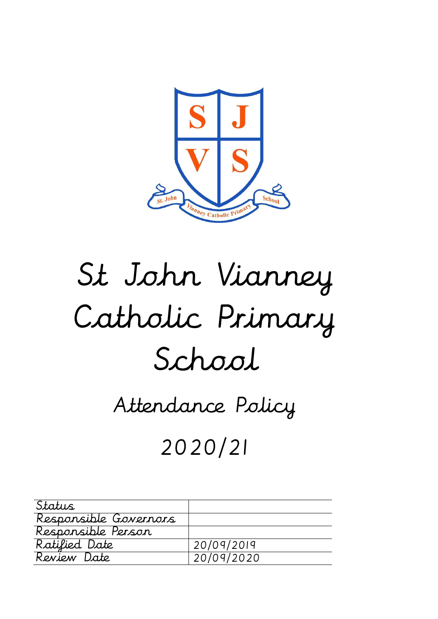

# St John Vianney Catholic Primary School

# Attendance Policy

# 2020/21

| Status                |            |
|-----------------------|------------|
| Responsible Governors |            |
| Responsible Person    |            |
| Ratified Date         | 20/09/2019 |
| Review Date           | 20/09/2020 |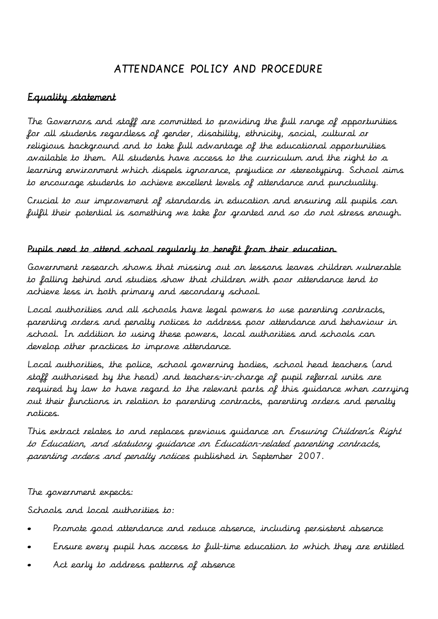# ATTENDANCE POLICY AND PROCEDURE

# Equality statement

The Governors and staff are committed to providing the full range of opportunities for all students regardless of gender, disability, ethnicity, social, cultural or religious background and to take full advantage of the educational opportunities available to them. All students have access to the curriculum and the right to a learning environment which dispels ignorance, prejudice or stereotyping. School aims to encourage students to achieve excellent levels of attendance and punctuality.

Crucial to our improvement of standards in education and ensuring all pupils can fulfil their potential is something we take for granted and so do not stress enough.

#### Pupils need to attend school regularly to benefit from their education.

Government research shows that missing out on lessons leaves children vulnerable to falling behind and studies show that children with poor attendance tend to achieve less in both primary and secondary school.

Local authorities and all schools have legal powers to use parenting contracts, parenting orders and penalty notices to address poor attendance and behaviour in school. In addition to using these powers, local authorities and schools can develop other practices to improve attendance.

Local authorities, the police, school governing bodies, school head teachers (and staff authorised by the head) and teachers-in-charge of pupil referral units are required by law to have regard to the relevant parts of this guidance when carrying out their functions in relation to parenting contracts, parenting orders and penalty notices.

This extract relates to and replaces previous guidance on Ensuring Children's Right to Education, and statutory guidance on Education-related parenting contracts, parenting orders and penalty notices published in September 2007.

#### The government expects:

Schools and local authorities to:

- Promote good attendance and reduce absence, including persistent absence
- Ensure every pupil has access to full-time education to which they are entitled
- Act early to address patterns of absence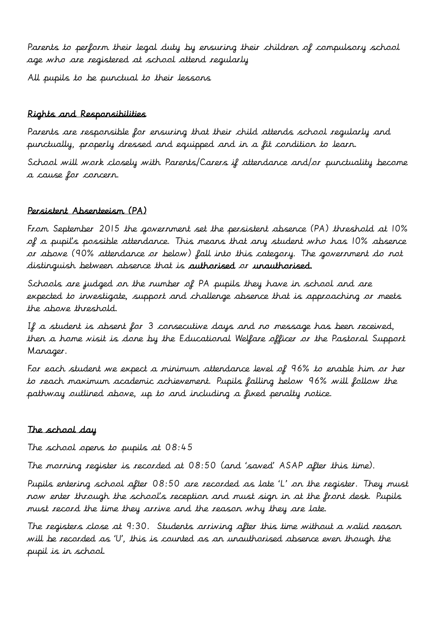Parents to perform their legal duty by ensuring their children of compulsory school age who are registered at school attend regularly

All pupils to be punctual to their lessons

#### Rights and Responsibilities

Parents are responsible for ensuring that their child attends school regularly and punctually, properly dressed and equipped and in a fit condition to learn.

School will work closely with Parents/Carers if attendance and/or punctuality become a cause for concern.

#### Persistent Absenteeism (PA)

From September 2015 the government set the persistent absence (PA) threshold at 10% of a pupil's possible attendance. This means that any student who has 10% absence or above (90% attendance or below) fall into this category. The government do not distinguish between absence that is authorised or unauthorised.

Schools are judged on the number of PA pupils they have in school and are expected to investigate, support and challenge absence that is approaching or meets the above threshold.

If a student is absent for 3 consecutive days and no message has been received, then a home visit is done by the Educational Welfare officer or the Pastoral Support Manager.

For each student we expect a minimum attendance level of 96% to enable him or her to reach maximum academic achievement. Pupils falling below 96% will follow the pathway outlined above, up to and including a fixed penalty notice.

#### The school day

The school opens to pupils at 08:45

The morning register is recorded at 08:50 (and 'saved' ASAP after this time).

Pupils entering school after 08:50 are recorded as late 'L' on the register. They must now enter through the school's reception and must sign in at the front desk. Pupils must record the time they arrive and the reason why they are late.

The registers close at 9:30. Students arriving after this time without a valid reason will be recorded as 'U', this is counted as an unauthorised absence even though the pupil is in school.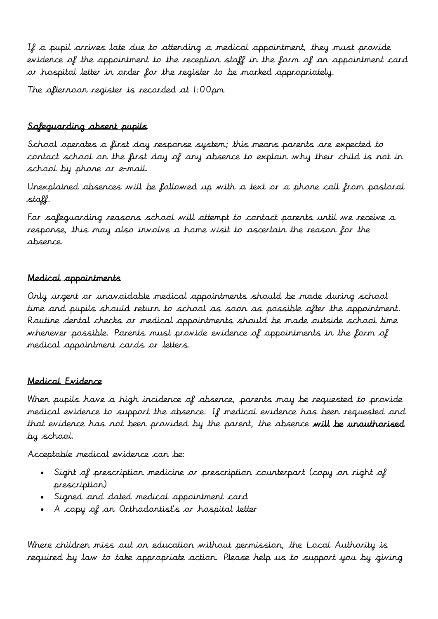If a pupil arrives late due to attending a medical appointment, they must provide evidence of the appointment to the reception staff in the form of an appointment card or hospital letter in order for the register to be marked appropriately.

The afternoon register is recorded at 1:00pm

# Safeguarding absent pupils

School operates a first day response system; this means parents are expected to contact school on the first day of any absence to explain why their child is not in school by phone or e-mail.

Unexplained absences will be followed up with a text or a phone call from pastoral staff.

For safeguarding reasons school will attempt to contact parents until we receive a response, this may also involve a home visit to ascertain the reason for the absence.

#### Medical appointments

Only urgent or unavoidable medical appointments should be made during school time and pupils should return to school as soon as possible after the appointment. Routine dental checks or medical appointments should be made outside school time whenever possible. Parents must provide evidence of appointments in the form of medical appointment cards or letters.

#### Medical Evidence

When pupils have a high incidence of absence, parents may be requested to provide medical evidence to support the absence. If medical evidence has been requested and that evidence has not been provided by the parent, the absence will be unauthorised by school.

Acceptable medical evidence can be:

- Sight of prescription medicine or prescription counterpart (copy on right of prescription)
- Signed and dated medical appointment card
- A copy of an Orthodontist's or hospital letter

Where children miss out on education without permission, the Local Authority is required by law to take appropriate action. Please help us to support you by giving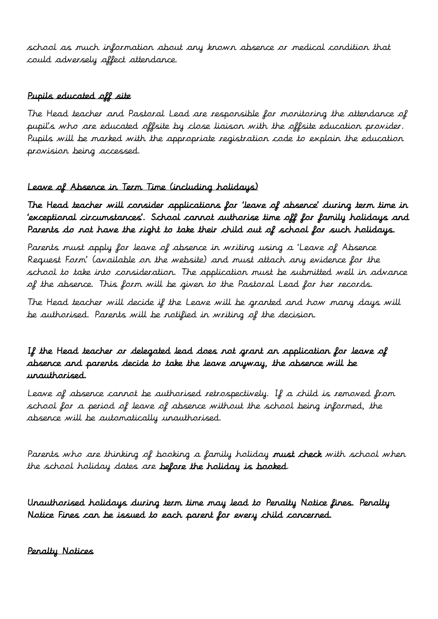school as much information about any known absence or medical condition that could adversely affect attendance.

### Pupils educated off site

The Head teacher and Pastoral Lead are responsible for monitoring the attendance of pupil's who are educated offsite by close liaison with the offsite education provider. Pupils will be marked with the appropriate registration code to explain the education provision being accessed.

# Leave of Absence in Term Time (including holidays)

The Head teacher will consider applications for 'leave of absence' during term time in 'exceptional circumstances'. School cannot authorise time off for family holidays and Parents do not have the right to take their child out of school for such holidays.

Parents must apply for leave of absence in writing using a 'Leave of Absence Request Form' (available on the website) and must attach any evidence for the school to take into consideration. The application must be submitted well in advance of the absence. This form will be given to the Pastoral Lead for her records.

The Head teacher will decide if the Leave will be granted and how many days will be authorised. Parents will be notified in writing of the decision.

# If the Head teacher or delegated lead does not grant an application for leave of absence and parents decide to take the leave anyway, the absence will be unauthorised.

Leave of absence cannot be authorised retrospectively. If a child is removed from school for a period of leave of absence without the school being informed, the absence will be automatically unauthorised.

Parents who are thinking of booking a family holiday must check with school when the school holiday dates are before the holiday is booked.

Unauthorised holidays during term time may lead to Penalty Notice fines. Penalty Notice Fines can be issued to each parent for every child concerned.

Penalty Notices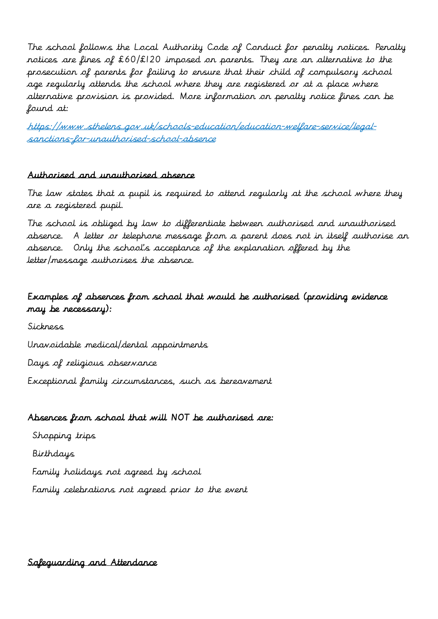The school follows the Local Authority Code of Conduct for penalty notices. Penalty notices are fines of £60/£120 imposed on parents. They are an alternative to the prosecution of parents for failing to ensure that their child of compulsory school age regularly attends the school where they are registered or at a place where alternative provision is provided. More information on penalty notice fines can be found at:

https://www.sthelens.gov.uk/schools-education/education-welfare-service/legalsanctions-for-unauthorised-school-absence

#### Authorised and unauthorised absence

The law states that a pupil is required to attend regularly at the school where they are a registered pupil.

The school is obliged by law to differentiate between authorised and unauthorised absence. A letter or telephone message from a parent does not in itself authorise an absence. Only the school's acceptance of the explanation offered by the letter/message authorises the absence.

# Examples of absences from school that would be authorised (providing evidence may be necessary):

Sickness Unavoidable medical/dental appointments Days of religious observance Exceptional family circumstances, such as bereavement

#### Absences from school that will NOT be authorised are:

Shopping trips Birthdays Family holidays not agreed by school Family celebrations not agreed prior to the event

Safeguarding and Attendance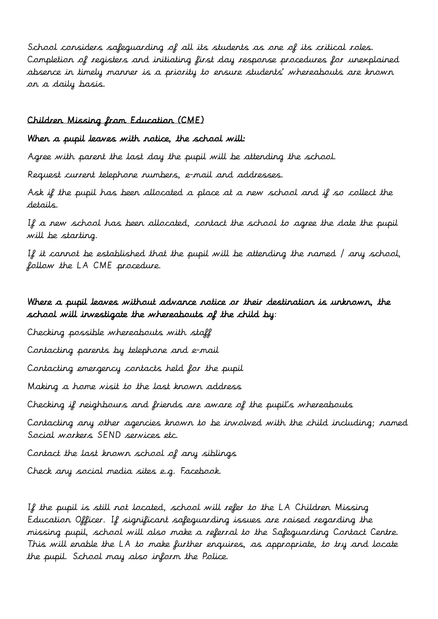School considers safeguarding of all its students as one of its critical roles. Completion of registers and initiating first day response procedures for unexplained absence in timely manner is a priority to ensure students' whereabouts are known on a daily basis.

#### Children Missing from Education (CME)

#### When a pupil leaves with notice, the school will:

Agree with parent the last day the pupil will be attending the school.

Request current telephone numbers, e-mail and addresses.

Ask if the pupil has been allocated a place at a new school and if so collect the details.

If a new school has been allocated, contact the school to agree the date the pupil will be starting.

If it cannot be established that the pupil will be attending the named / any school, follow the LA CME procedure.

#### Where a pupil leaves without advance notice or their destination is unknown, the school will investigate the whereabouts of the child by:

Checking possible whereabouts with staff

Contacting parents by telephone and e-mail

Contacting emergency contacts held for the pupil

Making a home visit to the last known address

Checking if neighbours and friends are aware of the pupil's whereabouts

Contacting any other agencies known to be involved with the child including; named Social workers SEND services etc.

Contact the last known school of any siblings

Check any social media sites e.g. Facebook.

If the pupil is still not located, school will refer to the LA Children Missing Education Officer. If significant safeguarding issues are raised regarding the missing pupil, school will also make a referral to the Safeguarding Contact Centre. This will enable the LA to make further enquires, as appropriate, to try and locate the pupil. School may also inform the Police.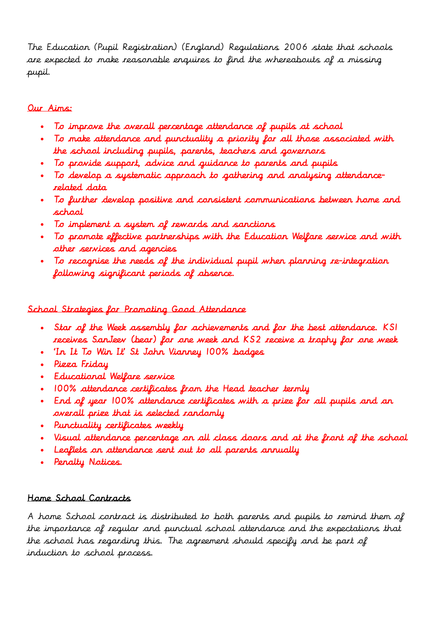The Education (Pupil Registration) (England) Regulations 2006 state that schools are expected to make reasonable enquires to find the whereabouts of a missing pupil.

# Our Aims:

- To improve the overall percentage attendance of pupils at school
- To make attendance and punctuality a priority for all those associated with the school including pupils, parents, teachers and governors
- To provide support, advice and guidance to parents and pupils
- To develop a systematic approach to gathering and analysing attendancerelated data
- To further develop positive and consistent communications between home and school
- To implement a system of rewards and sanctions
- To promote effective partnerships with the Education Welfare service and with other services and agencies
- To recognise the needs of the individual pupil when planning re-integration following significant periods of absence.

# School Strategies for Promoting Good Attendance

- . Star of the Week assembly for achievements and for the best attendance. KSI receives SanJeev (bear) for one week and KS2 receive a trophy for one week
- . In It To Win It' St Jahn Vianney 100% badges
- Pizza Friday
- Educational Welfare service
- . 100% attendance certificates from the Head teacher termly
- End of year 100% attendance certificates with a prize for all pupils and an overall prize that is selected randomly
- Punctuality certificates weekly
- Visual attendance percentage on all class doors and at the front of the school
- Leaflets on attendance sent out to all parents annually
- . Penalty Notices.

# Home School Contracts

A home School contract is distributed to both parents and pupils to remind them of the importance of regular and punctual school attendance and the expectations that the school has regarding this. The agreement should specify and be part of induction to school process.